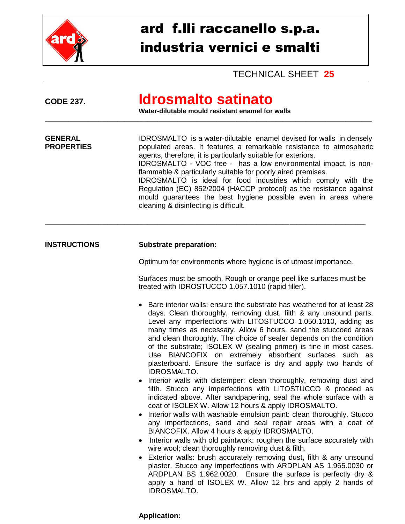

## ard f.lli raccanello s.p.a. industria vernici e smalti

TECHNICAL SHEET **25**

| <b>CODE 237.</b>                    | <u>Idrosmalto satinato</u><br>Water-dilutable mould resistant enamel for walls                                                                                                                                                                                                                                                                                                                                                                                                                                                                                                                                                                                                                                                                                                                                                                                                                                                                                                                                                                                                                                                                                                                                                                                                                                                                                                                                                                                                                       |  |
|-------------------------------------|------------------------------------------------------------------------------------------------------------------------------------------------------------------------------------------------------------------------------------------------------------------------------------------------------------------------------------------------------------------------------------------------------------------------------------------------------------------------------------------------------------------------------------------------------------------------------------------------------------------------------------------------------------------------------------------------------------------------------------------------------------------------------------------------------------------------------------------------------------------------------------------------------------------------------------------------------------------------------------------------------------------------------------------------------------------------------------------------------------------------------------------------------------------------------------------------------------------------------------------------------------------------------------------------------------------------------------------------------------------------------------------------------------------------------------------------------------------------------------------------------|--|
| <b>GENERAL</b><br><b>PROPERTIES</b> | IDROSMALTO is a water-dilutable enamel devised for walls in densely<br>populated areas. It features a remarkable resistance to atmospheric<br>agents, therefore, it is particularly suitable for exteriors.<br>IDROSMALTO - VOC free - has a low environmental impact, is non-<br>flammable & particularly suitable for poorly aired premises.<br>IDROSMALTO is ideal for food industries which comply with the<br>Regulation (EC) 852/2004 (HACCP protocol) as the resistance against<br>mould guarantees the best hygiene possible even in areas where<br>cleaning & disinfecting is difficult.                                                                                                                                                                                                                                                                                                                                                                                                                                                                                                                                                                                                                                                                                                                                                                                                                                                                                                    |  |
| <b>INSTRUCTIONS</b>                 | <b>Substrate preparation:</b>                                                                                                                                                                                                                                                                                                                                                                                                                                                                                                                                                                                                                                                                                                                                                                                                                                                                                                                                                                                                                                                                                                                                                                                                                                                                                                                                                                                                                                                                        |  |
|                                     | Optimum for environments where hygiene is of utmost importance.                                                                                                                                                                                                                                                                                                                                                                                                                                                                                                                                                                                                                                                                                                                                                                                                                                                                                                                                                                                                                                                                                                                                                                                                                                                                                                                                                                                                                                      |  |
|                                     | Surfaces must be smooth. Rough or orange peel like surfaces must be<br>treated with IDROSTUCCO 1.057.1010 (rapid filler).                                                                                                                                                                                                                                                                                                                                                                                                                                                                                                                                                                                                                                                                                                                                                                                                                                                                                                                                                                                                                                                                                                                                                                                                                                                                                                                                                                            |  |
|                                     | Bare interior walls: ensure the substrate has weathered for at least 28<br>days. Clean thoroughly, removing dust, filth & any unsound parts.<br>Level any imperfections with LITOSTUCCO 1.050.1010, adding as<br>many times as necessary. Allow 6 hours, sand the stuccoed areas<br>and clean thoroughly. The choice of sealer depends on the condition<br>of the substrate; ISOLEX W (sealing primer) is fine in most cases.<br>Use BIANCOFIX on extremely absorbent surfaces such as<br>plasterboard. Ensure the surface is dry and apply two hands of<br><b>IDROSMALTO.</b><br>Interior walls with distemper: clean thoroughly, removing dust and<br>filth. Stucco any imperfections with LITOSTUCCO & proceed as<br>indicated above. After sandpapering, seal the whole surface with a<br>coat of ISOLEX W. Allow 12 hours & apply IDROSMALTO.<br>Interior walls with washable emulsion paint: clean thoroughly. Stucco<br>$\bullet$<br>any imperfections, sand and seal repair areas with a coat of<br>BIANCOFIX. Allow 4 hours & apply IDROSMALTO.<br>Interior walls with old paintwork: roughen the surface accurately with<br>wire wool; clean thoroughly removing dust & filth.<br>Exterior walls: brush accurately removing dust, filth & any unsound<br>$\bullet$<br>plaster. Stucco any imperfections with ARDPLAN AS 1.965.0030 or<br>ARDPLAN BS 1.962.0020. Ensure the surface is perfectly dry &<br>apply a hand of ISOLEX W. Allow 12 hrs and apply 2 hands of<br><b>IDROSMALTO.</b> |  |

## **Application:**